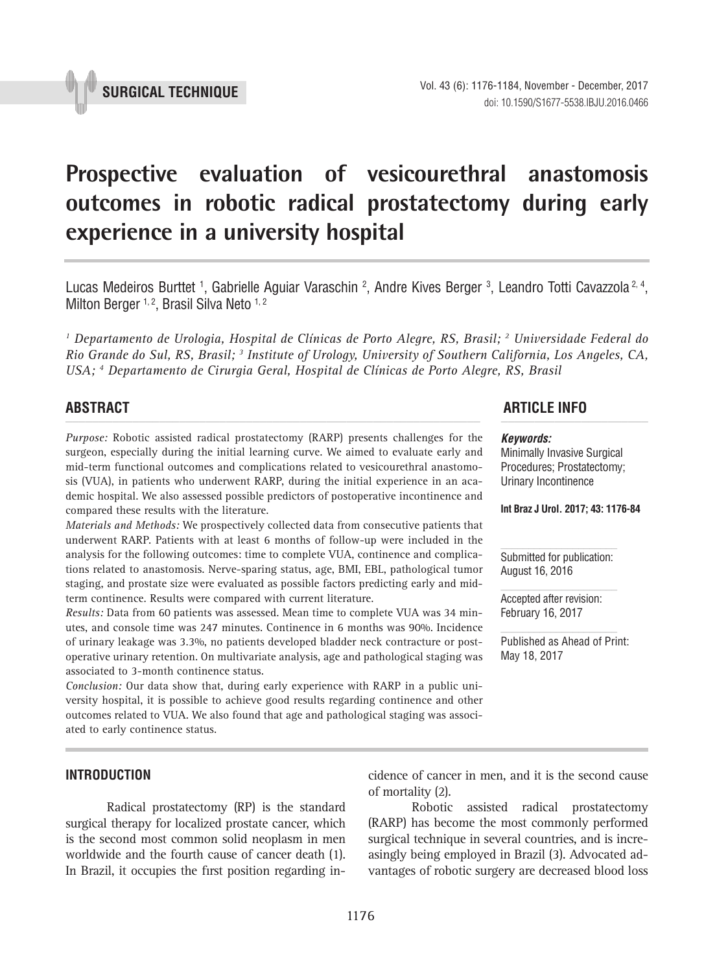

# **Prospective evaluation of vesicourethral anastomosis outcomes in robotic radical prostatectomy during early experience in a university hospital \_\_\_\_\_\_\_\_\_\_\_\_\_\_\_\_\_\_\_\_\_\_\_\_\_\_\_\_\_\_\_\_\_\_\_\_\_\_\_\_\_\_\_\_\_\_\_**

Lucas Medeiros Burttet <sup>1</sup>, Gabrielle Aguiar Varaschin <sup>2</sup>, Andre Kives Berger <sup>3</sup>, Leandro Totti Cavazzola <sup>2, 4</sup>, Milton Berger <sup>1, 2</sup>, Brasil Silva Neto <sup>1, 2</sup>

*1 Departamento de Urologia, Hospital de Clínicas de Porto Alegre, RS, Brasil; 2 Universidade Federal do*  Rio Grande do Sul, RS, Brasil; <sup>3</sup> Institute of Urology, University of Southern California, Los Angeles, CA, *USA; 4 Departamento de Cirurgia Geral, Hospital de Clínicas de Porto Alegre, RS, Brasil*

*Purpose:* Robotic assisted radical prostatectomy (RARP) presents challenges for the surgeon, especially during the initial learning curve. We aimed to evaluate early and mid-term functional outcomes and complications related to vesicourethral anastomosis (VUA), in patients who underwent RARP, during the initial experience in an academic hospital. We also assessed possible predictors of postoperative incontinence and compared these results with the literature.

*Materials and Methods:* We prospectively collected data from consecutive patients that underwent RARP. Patients with at least 6 months of follow-up were included in the analysis for the following outcomes: time to complete VUA, continence and complications related to anastomosis. Nerve-sparing status, age, BMI, EBL, pathological tumor staging, and prostate size were evaluated as possible factors predicting early and midterm continence. Results were compared with current literature.

*Results:* Data from 60 patients was assessed. Mean time to complete VUA was 34 minutes, and console time was 247 minutes. Continence in 6 months was 90%. Incidence of urinary leakage was 3.3%, no patients developed bladder neck contracture or postoperative urinary retention. On multivariate analysis, age and pathological staging was associated to 3-month continence status.

*Conclusion:* Our data show that, during early experience with RARP in a public university hospital, it is possible to achieve good results regarding continence and other outcomes related to VUA. We also found that age and pathological staging was associated to early continence status.

# **ABSTRACT ARTICLE INFO** *\_\_\_\_\_\_\_\_\_\_\_\_\_\_\_\_\_\_\_\_\_\_\_\_\_\_\_\_\_\_\_\_\_\_\_\_\_\_\_\_\_\_\_\_\_\_\_\_\_\_\_\_\_\_\_\_\_\_\_\_\_\_ \_\_\_\_\_\_\_\_\_\_\_\_\_\_\_\_\_\_\_\_\_\_*

#### *Keywords:*

Minimally Invasive Surgical Procedures; Prostatectomy; Urinary Incontinence

**Int Braz J Urol. 2017; 43: 1176-84**

Submitted for publication: August 16, 2016

Accepted after revision: February 16, 2017

Published as Ahead of Print: May 18, 2017

# **INTRODUCTION**

Radical prostatectomy (RP) is the standard surgical therapy for localized prostate cancer, which is the second most common solid neoplasm in men worldwide and the fourth cause of cancer death (1). In Brazil, it occupies the first position regarding incidence of cancer in men, and it is the second cause of mortality (2).

Robotic assisted radical prostatectomy (RARP) has become the most commonly performed surgical technique in several countries, and is increasingly being employed in Brazil (3). Advocated advantages of robotic surgery are decreased blood loss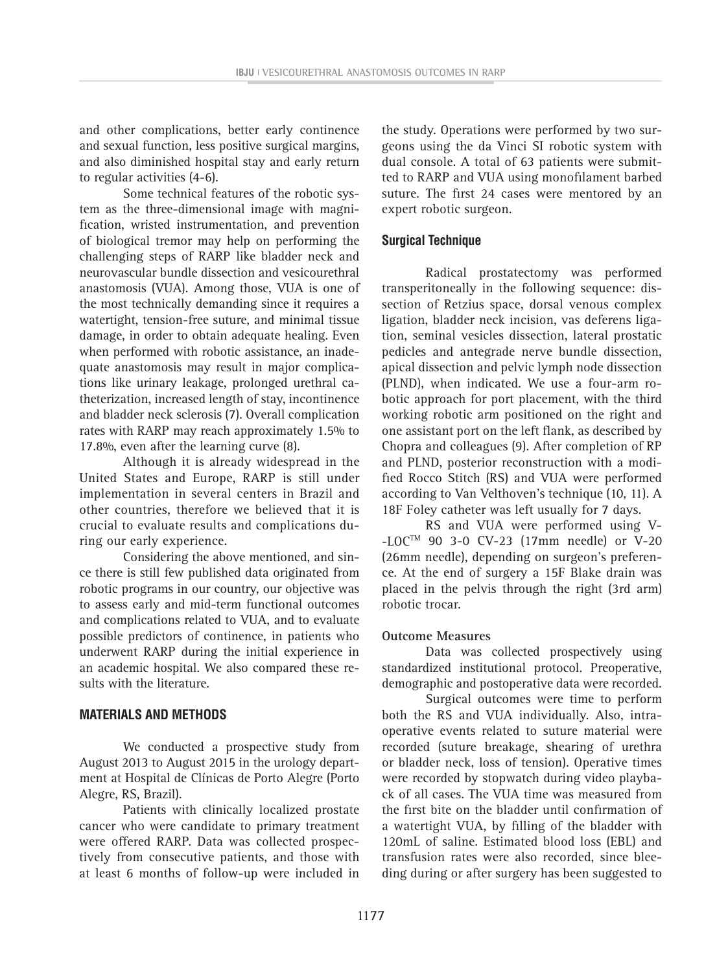and other complications, better early continence and sexual function, less positive surgical margins, and also diminished hospital stay and early return to regular activities (4-6).

Some technical features of the robotic system as the three-dimensional image with magnification, wristed instrumentation, and prevention of biological tremor may help on performing the challenging steps of RARP like bladder neck and neurovascular bundle dissection and vesicourethral anastomosis (VUA). Among those, VUA is one of the most technically demanding since it requires a watertight, tension-free suture, and minimal tissue damage, in order to obtain adequate healing. Even when performed with robotic assistance, an inadequate anastomosis may result in major complications like urinary leakage, prolonged urethral catheterization, increased length of stay, incontinence and bladder neck sclerosis (7). Overall complication rates with RARP may reach approximately 1.5% to 17.8%, even after the learning curve (8).

Although it is already widespread in the United States and Europe, RARP is still under implementation in several centers in Brazil and other countries, therefore we believed that it is crucial to evaluate results and complications during our early experience.

Considering the above mentioned, and since there is still few published data originated from robotic programs in our country, our objective was to assess early and mid-term functional outcomes and complications related to VUA, and to evaluate possible predictors of continence, in patients who underwent RARP during the initial experience in an academic hospital. We also compared these results with the literature.

# **MATERIALS AND METHODS**

We conducted a prospective study from August 2013 to August 2015 in the urology department at Hospital de Clínicas de Porto Alegre (Porto Alegre, RS, Brazil).

Patients with clinically localized prostate cancer who were candidate to primary treatment were offered RARP. Data was collected prospectively from consecutive patients, and those with at least 6 months of follow-up were included in

the study. Operations were performed by two surgeons using the da Vinci SI robotic system with dual console. A total of 63 patients were submitted to RARP and VUA using monofilament barbed suture. The first 24 cases were mentored by an expert robotic surgeon.

# **Surgical Technique**

Radical prostatectomy was performed transperitoneally in the following sequence: dissection of Retzius space, dorsal venous complex ligation, bladder neck incision, vas deferens ligation, seminal vesicles dissection, lateral prostatic pedicles and antegrade nerve bundle dissection, apical dissection and pelvic lymph node dissection (PLND), when indicated. We use a four-arm robotic approach for port placement, with the third working robotic arm positioned on the right and one assistant port on the left flank, as described by Chopra and colleagues (9). After completion of RP and PLND, posterior reconstruction with a modified Rocco Stitch (RS) and VUA were performed according to Van Velthoven's technique (10, 11). A 18F Foley catheter was left usually for 7 days.

RS and VUA were performed using V-  $-LOC^{TM}$  90 3-0 CV-23 (17mm needle) or V-20 (26mm needle), depending on surgeon's preference. At the end of surgery a 15F Blake drain was placed in the pelvis through the right (3rd arm) robotic trocar.

# **Outcome Measures**

Data was collected prospectively using standardized institutional protocol. Preoperative, demographic and postoperative data were recorded.

Surgical outcomes were time to perform both the RS and VUA individually. Also, intraoperative events related to suture material were recorded (suture breakage, shearing of urethra or bladder neck, loss of tension). Operative times were recorded by stopwatch during video playback of all cases. The VUA time was measured from the first bite on the bladder until confirmation of a watertight VUA, by filling of the bladder with 120mL of saline. Estimated blood loss (EBL) and transfusion rates were also recorded, since bleeding during or after surgery has been suggested to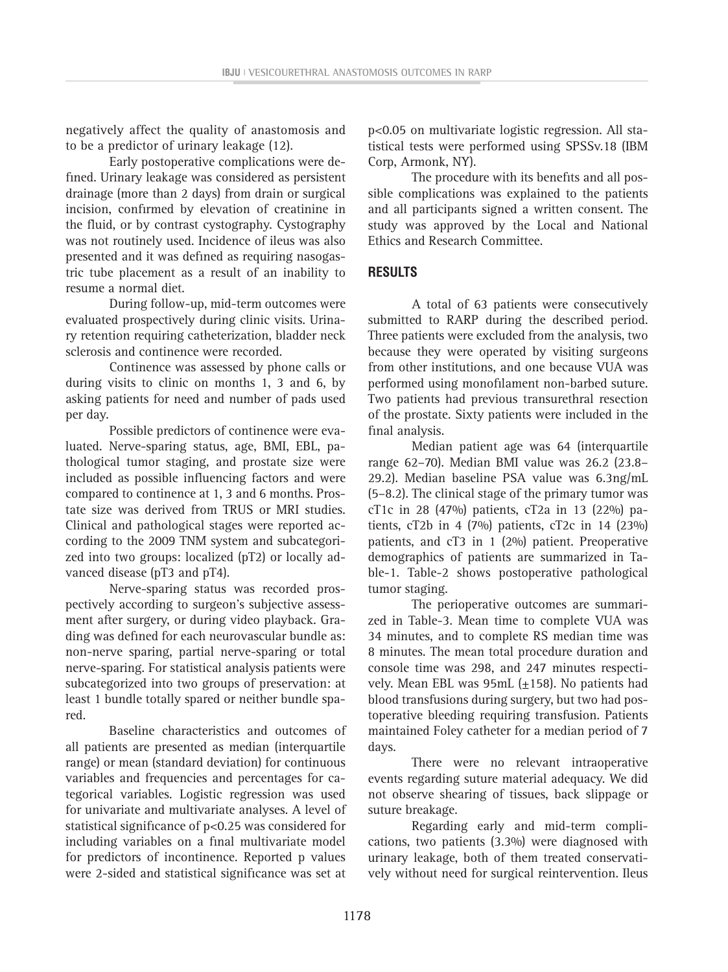negatively affect the quality of anastomosis and to be a predictor of urinary leakage (12).

Early postoperative complications were defined. Urinary leakage was considered as persistent drainage (more than 2 days) from drain or surgical incision, confirmed by elevation of creatinine in the fluid, or by contrast cystography. Cystography was not routinely used. Incidence of ileus was also presented and it was defined as requiring nasogastric tube placement as a result of an inability to resume a normal diet.

During follow-up, mid-term outcomes were evaluated prospectively during clinic visits. Urinary retention requiring catheterization, bladder neck sclerosis and continence were recorded.

Continence was assessed by phone calls or during visits to clinic on months 1, 3 and 6, by asking patients for need and number of pads used per day.

Possible predictors of continence were evaluated. Nerve-sparing status, age, BMI, EBL, pathological tumor staging, and prostate size were included as possible influencing factors and were compared to continence at 1, 3 and 6 months. Prostate size was derived from TRUS or MRI studies. Clinical and pathological stages were reported according to the 2009 TNM system and subcategorized into two groups: localized (pT2) or locally advanced disease (pT3 and pT4).

Nerve-sparing status was recorded prospectively according to surgeon's subjective assessment after surgery, or during video playback. Grading was defined for each neurovascular bundle as: non-nerve sparing, partial nerve-sparing or total nerve-sparing. For statistical analysis patients were subcategorized into two groups of preservation: at least 1 bundle totally spared or neither bundle spared.

Baseline characteristics and outcomes of all patients are presented as median (interquartile range) or mean (standard deviation) for continuous variables and frequencies and percentages for categorical variables. Logistic regression was used for univariate and multivariate analyses. A level of statistical significance of p<0.25 was considered for including variables on a final multivariate model for predictors of incontinence. Reported p values were 2-sided and statistical significance was set at

p<0.05 on multivariate logistic regression. All statistical tests were performed using SPSSv.18 (IBM Corp, Armonk, NY).

The procedure with its benefits and all possible complications was explained to the patients and all participants signed a written consent. The study was approved by the Local and National Ethics and Research Committee.

# **RESULTS**

A total of 63 patients were consecutively submitted to RARP during the described period. Three patients were excluded from the analysis, two because they were operated by visiting surgeons from other institutions, and one because VUA was performed using monofilament non-barbed suture. Two patients had previous transurethral resection of the prostate. Sixty patients were included in the final analysis.

Median patient age was 64 (interquartile range 62–70). Median BMI value was 26.2 (23.8– 29.2). Median baseline PSA value was 6.3ng/mL (5–8.2). The clinical stage of the primary tumor was cT1c in 28 (47%) patients, cT2a in 13 (22%) patients, cT2b in 4 (7%) patients, cT2c in 14 (23%) patients, and cT3 in 1 (2%) patient. Preoperative demographics of patients are summarized in Table-1. Table-2 shows postoperative pathological tumor staging.

The perioperative outcomes are summarized in Table-3. Mean time to complete VUA was 34 minutes, and to complete RS median time was 8 minutes. The mean total procedure duration and console time was 298, and 247 minutes respectively. Mean EBL was  $95mL$  ( $\pm$ 158). No patients had blood transfusions during surgery, but two had postoperative bleeding requiring transfusion. Patients maintained Foley catheter for a median period of 7 days.

There were no relevant intraoperative events regarding suture material adequacy. We did not observe shearing of tissues, back slippage or suture breakage.

Regarding early and mid-term complications, two patients (3.3%) were diagnosed with urinary leakage, both of them treated conservatively without need for surgical reintervention. Ileus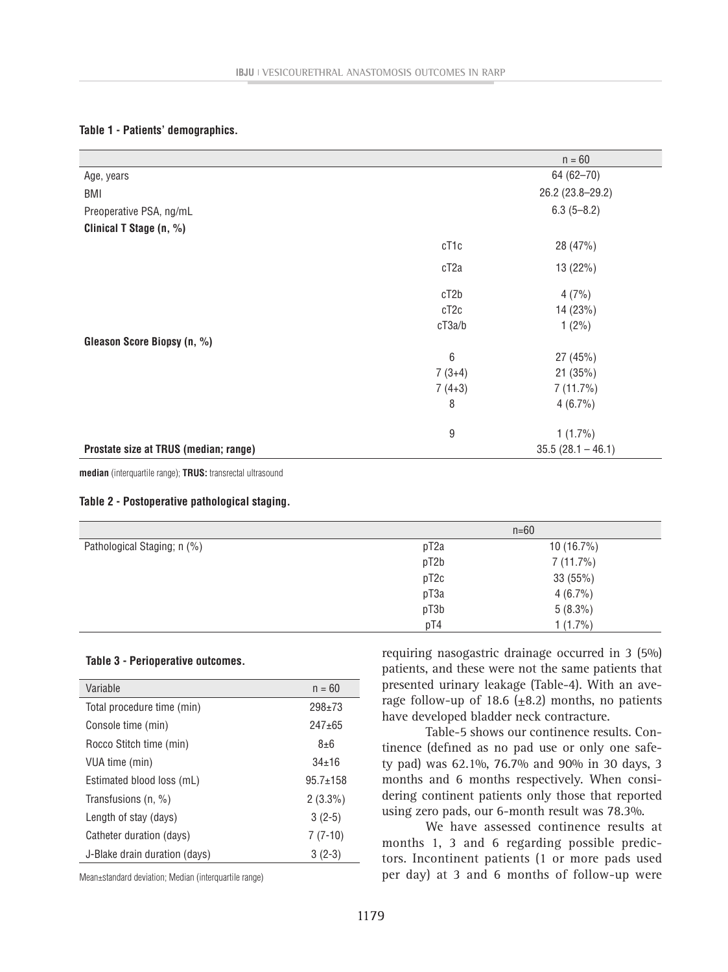### **Table 1 - Patients' demographics.**

|                                       |                  | $n = 60$            |
|---------------------------------------|------------------|---------------------|
| Age, years                            |                  | $64(62 - 70)$       |
| BMI                                   |                  | 26.2 (23.8-29.2)    |
| Preoperative PSA, ng/mL               |                  | $6.3(5 - 8.2)$      |
| Clinical T Stage (n, %)               |                  |                     |
|                                       | cT1c             | 28 (47%)            |
|                                       | cT <sub>2a</sub> | 13 (22%)            |
|                                       | cT2b             | 4(7%)               |
|                                       | cT2c             | 14 (23%)            |
|                                       | cT3a/b           | $1(2\%)$            |
| Gleason Score Biopsy (n, %)           |                  |                     |
|                                       | 6                | 27 (45%)            |
|                                       | $7(3+4)$         | 21 (35%)            |
|                                       | $7(4+3)$         | 7(11.7%)            |
|                                       | 8                | $4(6.7\%)$          |
|                                       | $\boldsymbol{9}$ | $1(1.7\%)$          |
| Prostate size at TRUS (median; range) |                  | $35.5(28.1 - 46.1)$ |

**median** (interquartile range); **TRUS:** transrectal ultrasound

#### **Table 2 - Postoperative pathological staging.**

|                             | $n = 60$          |              |  |  |
|-----------------------------|-------------------|--------------|--|--|
| Pathological Staging; n (%) | pT <sub>2</sub> a | $10(16.7\%)$ |  |  |
|                             | pT2b              | 7(11.7%)     |  |  |
|                             | pT <sub>2c</sub>  | 33(55%)      |  |  |
|                             | рТЗа              | $4(6.7\%)$   |  |  |
|                             | pT3b              | $5(8.3\%)$   |  |  |
|                             | pT4               | $1(1.7\%)$   |  |  |

#### **Table 3 - Perioperative outcomes.**

| Variable                      | $n = 60$     |
|-------------------------------|--------------|
| Total procedure time (min)    | $298 + 73$   |
| Console time (min)            | $247 + 65$   |
| Rocco Stitch time (min)       | 8+6          |
| VUA time (min)                | $34+16$      |
| Estimated blood loss (mL)     | $95.7 + 158$ |
| Transfusions $(n, %)$         | $2(3.3\%)$   |
| Length of stay (days)         | $3(2-5)$     |
| Catheter duration (days)      | $7(7-10)$    |
| J-Blake drain duration (days) | $3(2-3)$     |

Mean±standard deviation; Median (interquartile range)

requiring nasogastric drainage occurred in 3 (5%) patients, and these were not the same patients that presented urinary leakage (Table-4). With an average follow-up of 18.6  $(\pm 8.2)$  months, no patients have developed bladder neck contracture.

Table-5 shows our continence results. Continence (defined as no pad use or only one safety pad) was 62.1%, 76.7% and 90% in 30 days, 3 months and 6 months respectively. When considering continent patients only those that reported using zero pads, our 6-month result was 78.3%.

We have assessed continence results at months 1, 3 and 6 regarding possible predictors. Incontinent patients (1 or more pads used per day) at 3 and 6 months of follow-up were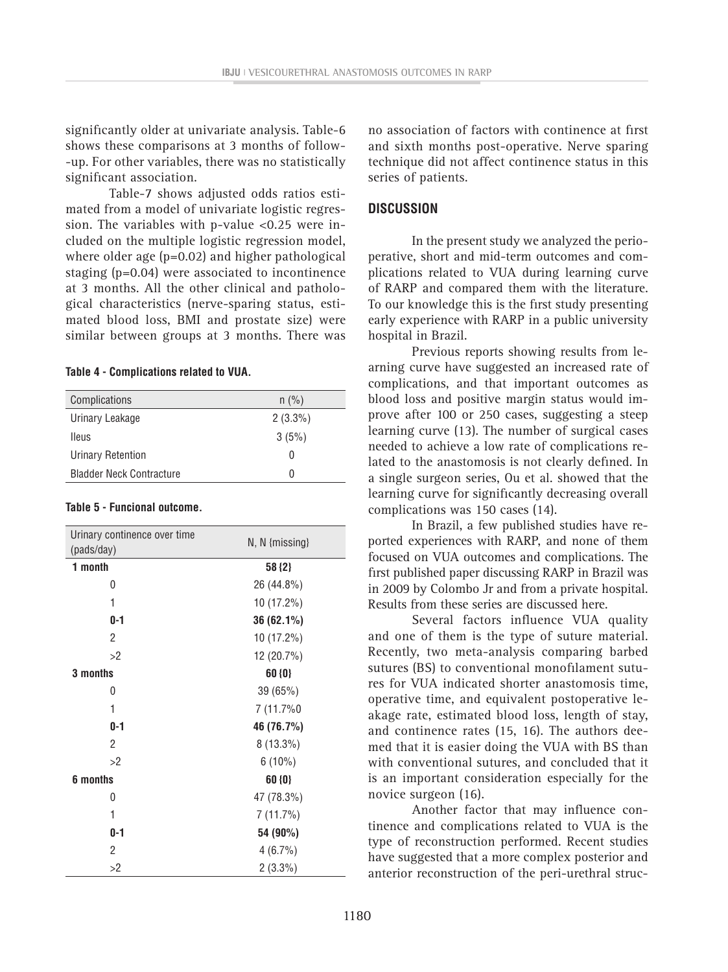significantly older at univariate analysis. Table-6 shows these comparisons at 3 months of follow- -up. For other variables, there was no statistically significant association.

Table-7 shows adjusted odds ratios estimated from a model of univariate logistic regression. The variables with p-value <0.25 were included on the multiple logistic regression model, where older age (p=0.02) and higher pathological staging (p=0.04) were associated to incontinence at 3 months. All the other clinical and pathological characteristics (nerve-sparing status, estimated blood loss, BMI and prostate size) were similar between groups at 3 months. There was

#### **Table 4 - Complications related to VUA.**

| Complications                   | $n$ (%)    |
|---------------------------------|------------|
| Urinary Leakage                 | $2(3.3\%)$ |
| <b>Ileus</b>                    | 3(5%)      |
| Urinary Retention               | 0          |
| <b>Bladder Neck Contracture</b> | 0          |

#### **Table 5 - Funcional outcome.**

| Urinary continence over time<br>(pads/day) | N, N {missing} |
|--------------------------------------------|----------------|
| 1 month                                    | 58(2)          |
| 0                                          | 26 (44.8%)     |
| 1                                          | 10 (17.2%)     |
| $0-1$                                      | 36 (62.1%)     |
| 2                                          | 10 (17.2%)     |
| >2                                         | 12 (20.7%)     |
| 3 months                                   | $60\{0\}$      |
| 0                                          | 39 (65%)       |
| 1                                          | 7 (11.7%0      |
| $0-1$                                      | 46 (76.7%)     |
| 2                                          | $8(13.3\%)$    |
| >2                                         | $6(10\%)$      |
| 6 months                                   | $60\{0\}$      |
| 0                                          | 47 (78.3%)     |
| 1                                          | 7(11.7%)       |
| 0-1                                        | 54 (90%)       |
| 2                                          | $4(6.7\%)$     |
| >2                                         | $2(3.3\%)$     |

no association of factors with continence at first and sixth months post-operative. Nerve sparing technique did not affect continence status in this series of patients.

# **DISCUSSION**

In the present study we analyzed the perioperative, short and mid-term outcomes and complications related to VUA during learning curve of RARP and compared them with the literature. To our knowledge this is the first study presenting early experience with RARP in a public university hospital in Brazil.

Previous reports showing results from learning curve have suggested an increased rate of complications, and that important outcomes as blood loss and positive margin status would improve after 100 or 250 cases, suggesting a steep learning curve (13). The number of surgical cases needed to achieve a low rate of complications related to the anastomosis is not clearly defined. In a single surgeon series, Ou et al. showed that the learning curve for significantly decreasing overall complications was 150 cases (14).

In Brazil, a few published studies have reported experiences with RARP, and none of them focused on VUA outcomes and complications. The first published paper discussing RARP in Brazil was in 2009 by Colombo Jr and from a private hospital. Results from these series are discussed here.

Several factors influence VUA quality and one of them is the type of suture material. Recently, two meta-analysis comparing barbed sutures (BS) to conventional monofilament sutures for VUA indicated shorter anastomosis time, operative time, and equivalent postoperative leakage rate, estimated blood loss, length of stay, and continence rates (15, 16). The authors deemed that it is easier doing the VUA with BS than with conventional sutures, and concluded that it is an important consideration especially for the novice surgeon (16).

Another factor that may influence continence and complications related to VUA is the type of reconstruction performed. Recent studies have suggested that a more complex posterior and anterior reconstruction of the peri-urethral struc-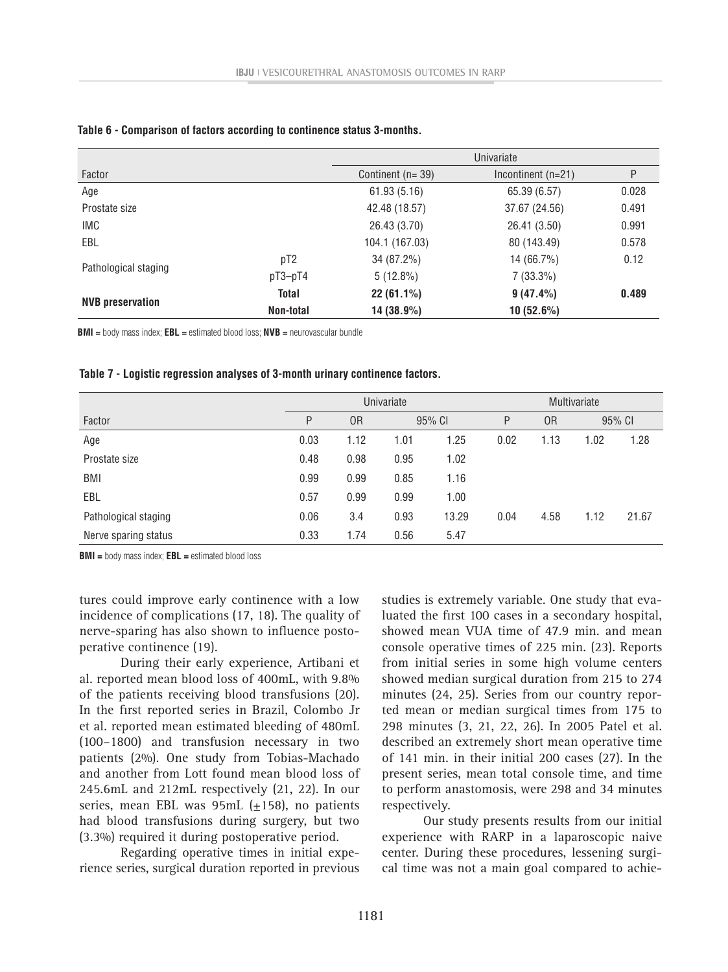|                         |              | Univariate         |                      |       |  |
|-------------------------|--------------|--------------------|----------------------|-------|--|
| Factor                  |              | Continent $(n=39)$ | Incontinent $(n=21)$ | P     |  |
| Age                     |              | 61.93 (5.16)       | 65.39 (6.57)         | 0.028 |  |
| Prostate size           |              | 42.48 (18.57)      | 37.67 (24.56)        | 0.491 |  |
| <b>IMC</b>              |              | 26.43 (3.70)       | 26.41 (3.50)         | 0.991 |  |
| EBL                     |              | 104.1 (167.03)     | 80 (143.49)          | 0.578 |  |
| Pathological staging    | pT2          | 34 (87.2%)         | 14 (66.7%)           | 0.12  |  |
|                         | $pT3-pT4$    | $5(12.8\%)$        | $7(33.3\%)$          |       |  |
| <b>NVB</b> preservation | <b>Total</b> | $22(61.1\%)$       | $9(47.4\%)$          | 0.489 |  |
|                         | Non-total    | 14 (38.9%)         | 10(52.6%)            |       |  |

#### **Table 6 - Comparison of factors according to continence status 3-months.**

**BMI =** body mass index; **EBL =** estimated blood loss; **NVB =** neurovascular bundle

#### **Table 7 - Logistic regression analyses of 3-month urinary continence factors.**

|                      | Univariate |                |      |        | <b>Multivariate</b> |                |      |        |
|----------------------|------------|----------------|------|--------|---------------------|----------------|------|--------|
| Factor               | P          | 0 <sub>R</sub> |      | 95% CI | P                   | 0 <sub>R</sub> |      | 95% CI |
| Age                  | 0.03       | 1.12           | 1.01 | 1.25   | 0.02                | 1.13           | 1.02 | 1.28   |
| Prostate size        | 0.48       | 0.98           | 0.95 | 1.02   |                     |                |      |        |
| BMI                  | 0.99       | 0.99           | 0.85 | 1.16   |                     |                |      |        |
| EBL                  | 0.57       | 0.99           | 0.99 | 1.00   |                     |                |      |        |
| Pathological staging | 0.06       | 3.4            | 0.93 | 13.29  | 0.04                | 4.58           | 1.12 | 21.67  |
| Nerve sparing status | 0.33       | 1.74           | 0.56 | 5.47   |                     |                |      |        |

**BMI =** body mass index; **EBL =** estimated blood loss

tures could improve early continence with a low incidence of complications (17, 18). The quality of nerve-sparing has also shown to influence postoperative continence (19).

During their early experience, Artibani et al. reported mean blood loss of 400mL, with 9.8% of the patients receiving blood transfusions (20). In the first reported series in Brazil, Colombo Jr et al. reported mean estimated bleeding of 480mL (100–1800) and transfusion necessary in two patients (2%). One study from Tobias-Machado and another from Lott found mean blood loss of 245.6mL and 212mL respectively (21, 22). In our series, mean EBL was 95mL  $(\pm 158)$ , no patients had blood transfusions during surgery, but two (3.3%) required it during postoperative period.

Regarding operative times in initial experience series, surgical duration reported in previous studies is extremely variable. One study that evaluated the first 100 cases in a secondary hospital, showed mean VUA time of 47.9 min. and mean console operative times of 225 min. (23). Reports from initial series in some high volume centers showed median surgical duration from 215 to 274 minutes (24, 25). Series from our country reported mean or median surgical times from 175 to 298 minutes (3, 21, 22, 26). In 2005 Patel et al. described an extremely short mean operative time of 141 min. in their initial 200 cases (27). In the present series, mean total console time, and time to perform anastomosis, were 298 and 34 minutes respectively.

Our study presents results from our initial experience with RARP in a laparoscopic naive center. During these procedures, lessening surgical time was not a main goal compared to achie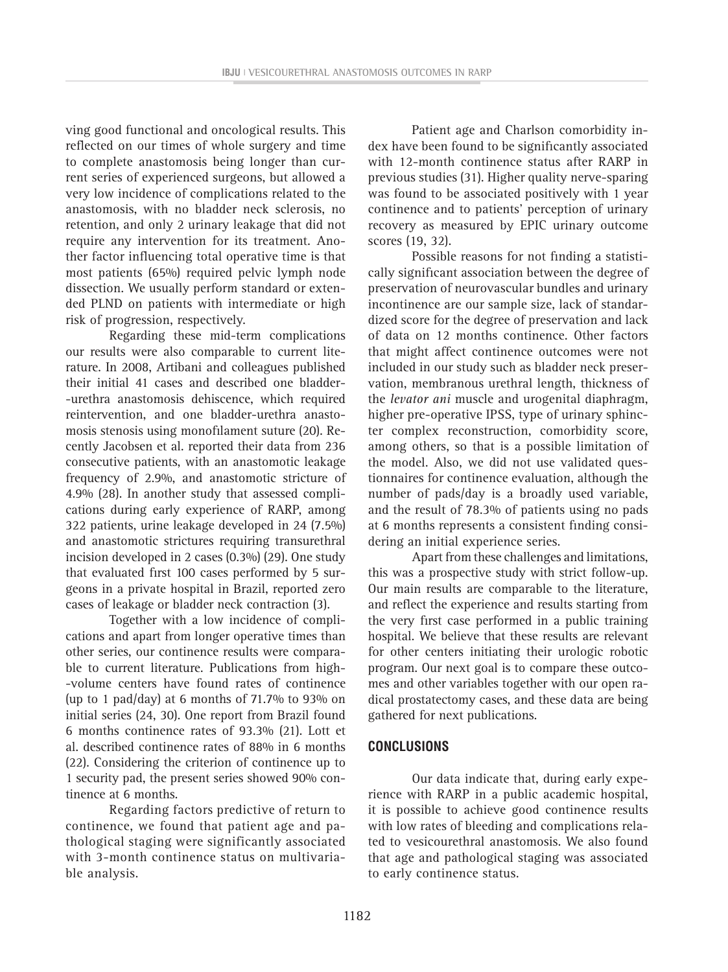ving good functional and oncological results. This reflected on our times of whole surgery and time to complete anastomosis being longer than current series of experienced surgeons, but allowed a very low incidence of complications related to the anastomosis, with no bladder neck sclerosis, no retention, and only 2 urinary leakage that did not require any intervention for its treatment. Another factor influencing total operative time is that most patients (65%) required pelvic lymph node dissection. We usually perform standard or extended PLND on patients with intermediate or high risk of progression, respectively.

Regarding these mid-term complications our results were also comparable to current literature. In 2008, Artibani and colleagues published their initial 41 cases and described one bladder- -urethra anastomosis dehiscence, which required reintervention, and one bladder-urethra anastomosis stenosis using monofilament suture (20). Recently Jacobsen et al. reported their data from 236 consecutive patients, with an anastomotic leakage frequency of 2.9%, and anastomotic stricture of 4.9% (28). In another study that assessed complications during early experience of RARP, among 322 patients, urine leakage developed in 24 (7.5%) and anastomotic strictures requiring transurethral incision developed in 2 cases (0.3%) (29). One study that evaluated first 100 cases performed by 5 surgeons in a private hospital in Brazil, reported zero cases of leakage or bladder neck contraction (3).

Together with a low incidence of complications and apart from longer operative times than other series, our continence results were comparable to current literature. Publications from high- -volume centers have found rates of continence (up to 1 pad/day) at 6 months of 71.7% to 93% on initial series (24, 30). One report from Brazil found 6 months continence rates of 93.3% (21). Lott et al. described continence rates of 88% in 6 months (22). Considering the criterion of continence up to 1 security pad, the present series showed 90% continence at 6 months.

Regarding factors predictive of return to continence, we found that patient age and pathological staging were significantly associated with 3-month continence status on multivariable analysis.

Patient age and Charlson comorbidity index have been found to be significantly associated with 12-month continence status after RARP in previous studies (31). Higher quality nerve-sparing was found to be associated positively with 1 year continence and to patients' perception of urinary recovery as measured by EPIC urinary outcome scores (19, 32).

Possible reasons for not finding a statistically significant association between the degree of preservation of neurovascular bundles and urinary incontinence are our sample size, lack of standardized score for the degree of preservation and lack of data on 12 months continence. Other factors that might affect continence outcomes were not included in our study such as bladder neck preservation, membranous urethral length, thickness of the *levator ani* muscle and urogenital diaphragm, higher pre-operative IPSS, type of urinary sphincter complex reconstruction, comorbidity score, among others, so that is a possible limitation of the model. Also, we did not use validated questionnaires for continence evaluation, although the number of pads/day is a broadly used variable, and the result of 78.3% of patients using no pads at 6 months represents a consistent finding considering an initial experience series.

Apart from these challenges and limitations, this was a prospective study with strict follow-up. Our main results are comparable to the literature, and reflect the experience and results starting from the very first case performed in a public training hospital. We believe that these results are relevant for other centers initiating their urologic robotic program. Our next goal is to compare these outcomes and other variables together with our open radical prostatectomy cases, and these data are being gathered for next publications.

# **CONCLUSIONS**

Our data indicate that, during early experience with RARP in a public academic hospital, it is possible to achieve good continence results with low rates of bleeding and complications related to vesicourethral anastomosis. We also found that age and pathological staging was associated to early continence status.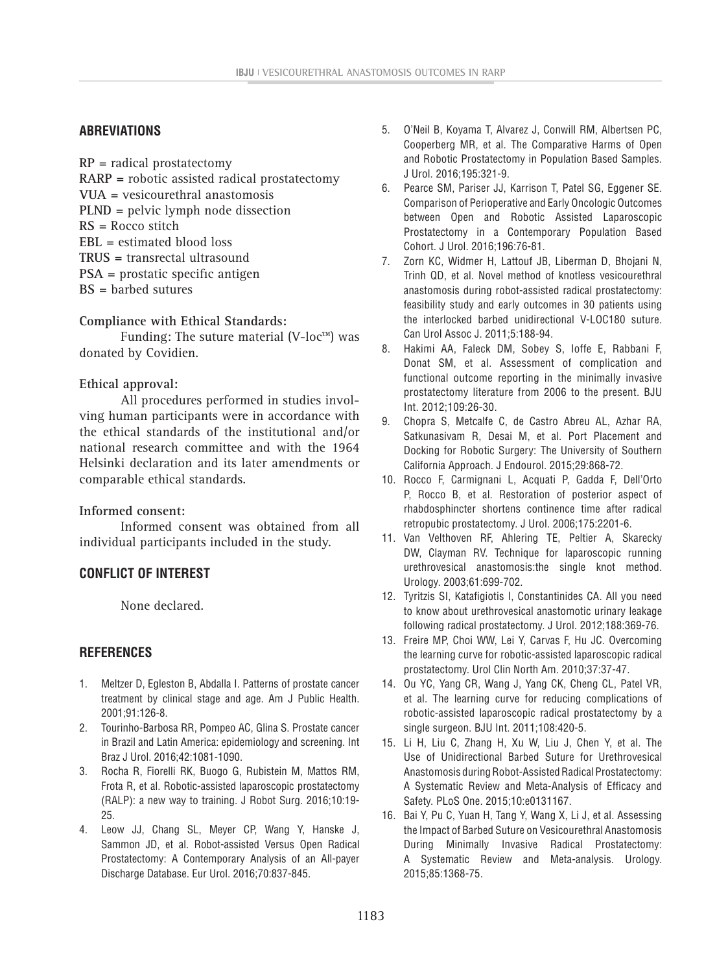# **Abreviations**

**RP =** radical prostatectomy **RARP =** robotic assisted radical prostatectomy **VUA =** vesicourethral anastomosis **PLND =** pelvic lymph node dissection **RS =** Rocco stitch **EBL =** estimated blood loss **TRUS =** transrectal ultrasound **PSA =** prostatic specific antigen **BS =** barbed sutures

## **Compliance with Ethical Standards:**

Funding: The suture material  $(V-loc^m)$  was donated by Covidien.

## **Ethical approval:**

All procedures performed in studies involving human participants were in accordance with the ethical standards of the institutional and/or national research committee and with the 1964 Helsinki declaration and its later amendments or comparable ethical standards.

#### **Informed consent:**

Informed consent was obtained from all individual participants included in the study.

# **CONFLICT OF INTEREST**

None declared.

# **REFERENCES**

- 1. Meltzer D, Egleston B, Abdalla I. Patterns of prostate cancer treatment by clinical stage and age. Am J Public Health. 2001;91:126-8.
- 2. Tourinho-Barbosa RR, Pompeo AC, Glina S. Prostate cancer in Brazil and Latin America: epidemiology and screening. Int Braz J Urol. 2016;42:1081-1090.
- 3. Rocha R, Fiorelli RK, Buogo G, Rubistein M, Mattos RM, Frota R, et al. Robotic-assisted laparoscopic prostatectomy (RALP): a new way to training. J Robot Surg. 2016;10:19- 25.
- 4. Leow JJ, Chang SL, Meyer CP, Wang Y, Hanske J, Sammon JD, et al. Robot-assisted Versus Open Radical Prostatectomy: A Contemporary Analysis of an All-payer Discharge Database. Eur Urol. 2016;70:837-845.
- 5. O'Neil B, Koyama T, Alvarez J, Conwill RM, Albertsen PC, Cooperberg MR, et al. The Comparative Harms of Open and Robotic Prostatectomy in Population Based Samples. J Urol. 2016;195:321-9.
- 6. Pearce SM, Pariser JJ, Karrison T, Patel SG, Eggener SE. Comparison of Perioperative and Early Oncologic Outcomes between Open and Robotic Assisted Laparoscopic Prostatectomy in a Contemporary Population Based Cohort. J Urol. 2016;196:76-81.
- 7. Zorn KC, Widmer H, Lattouf JB, Liberman D, Bhojani N, Trinh QD, et al. Novel method of knotless vesicourethral anastomosis during robot-assisted radical prostatectomy: feasibility study and early outcomes in 30 patients using the interlocked barbed unidirectional V-LOC180 suture. Can Urol Assoc J. 2011;5:188-94.
- 8. Hakimi AA, Faleck DM, Sobey S, Ioffe E, Rabbani F, Donat SM, et al. Assessment of complication and functional outcome reporting in the minimally invasive prostatectomy literature from 2006 to the present. BJU Int. 2012;109:26-30.
- 9. Chopra S, Metcalfe C, de Castro Abreu AL, Azhar RA, Satkunasivam R, Desai M, et al. Port Placement and Docking for Robotic Surgery: The University of Southern California Approach. J Endourol. 2015;29:868-72.
- 10. Rocco F, Carmignani L, Acquati P, Gadda F, Dell'Orto P, Rocco B, et al. Restoration of posterior aspect of rhabdosphincter shortens continence time after radical retropubic prostatectomy. J Urol. 2006;175:2201-6.
- 11. Van Velthoven RF, Ahlering TE, Peltier A, Skarecky DW, Clayman RV. Technique for laparoscopic running urethrovesical anastomosis:the single knot method. Urology. 2003;61:699-702.
- 12. Tyritzis SI, Katafigiotis I, Constantinides CA. All you need to know about urethrovesical anastomotic urinary leakage following radical prostatectomy. J Urol. 2012;188:369-76.
- 13. Freire MP, Choi WW, Lei Y, Carvas F, Hu JC. Overcoming the learning curve for robotic-assisted laparoscopic radical prostatectomy. Urol Clin North Am. 2010;37:37-47.
- 14. Ou YC, Yang CR, Wang J, Yang CK, Cheng CL, Patel VR, et al. The learning curve for reducing complications of robotic-assisted laparoscopic radical prostatectomy by a single surgeon. BJU Int. 2011;108:420-5.
- 15. Li H, Liu C, Zhang H, Xu W, Liu J, Chen Y, et al. The Use of Unidirectional Barbed Suture for Urethrovesical Anastomosis during Robot-Assisted Radical Prostatectomy: A Systematic Review and Meta-Analysis of Efficacy and Safety. PLoS One. 2015;10:e0131167.
- 16. Bai Y, Pu C, Yuan H, Tang Y, Wang X, Li J, et al. Assessing the Impact of Barbed Suture on Vesicourethral Anastomosis During Minimally Invasive Radical Prostatectomy: A Systematic Review and Meta-analysis. Urology. 2015;85:1368-75.